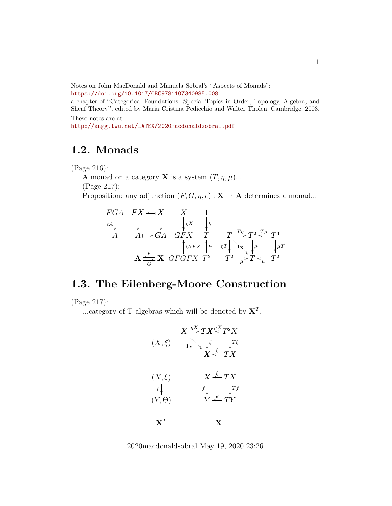Notes on John MacDonald and Manuela Sobral's "Aspects of Monads": <https://doi.org/10.1017/CBO9781107340985.008>

a chapter of "Categorical Foundations: Special Topics in Order, Topology, Algebra, and Sheaf Theory", edited by Maria Cristina Pedicchio and Walter Tholen, Cambridge, 2003. These notes are at:

<http://angg.twu.net/LATEX/2020macdonaldsobral.pdf>

## **1.2. Monads**

(Page 216):

A monad on a category **X** is a system  $(T, \eta, \mu)$ ... (Page 217): Proposition: any adjunction  $(F, G, \eta, \epsilon) : \mathbf{X} \to \mathbf{A}$  determines a monad...

\n
$$
\begin{array}{cccc}\nFGA & FX & \longrightarrow & X & 1 \\
\epsilon A & \downarrow & \downarrow & \downarrow & \uparrow & \\
A & A \rightarrow \epsilon A & GFX & T & T \xrightarrow{T_{\eta}} T^2 \xleftarrow{T_{\mu}} T^3 \\
& \uparrow & \downarrow & \downarrow & \downarrow \\
A \xrightarrow{F} & \searrow & GFGFX & T^2 & T^2 \xrightarrow{\mu} T \xleftarrow{T^2} T^2\n\end{array}
$$
\n

## **1.3. The Eilenberg-Moore Construction**

(Page 217):

...category of T-algebras which will be denoted by  $X<sup>T</sup>$ .



2020macdonaldsobral May 19, 2020 23:26